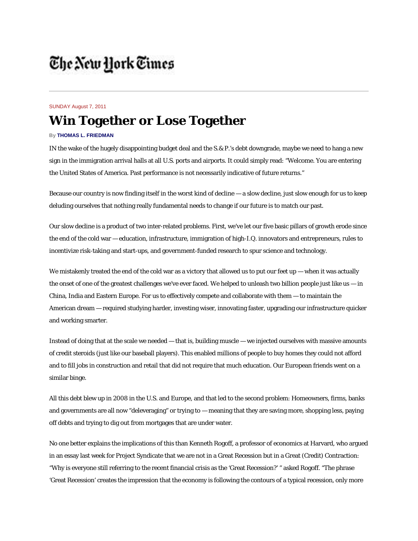## The New York Times

## SUNDAY August 7, 2011

## **Win Together or Lose Together**

## **By THOMAS L. FRIEDMAN**

IN the wake of the hugely disappointing budget deal and the S.& P.'s debt downgrade, maybe we need to hang a new sign in the immigration arrival halls at all U.S. ports and airports. It could simply read: "Welcome. You are entering the United States of America. Past performance is not necessarily indicative of future returns."

Because our country is now finding itself in the worst kind of decline — a slow decline, just slow enough for us to keep deluding ourselves that nothing really fundamental needs to change if our future is to match our past.

Our slow decline is a product of two inter-related problems. First, we've let our five basic pillars of growth erode since the end of the cold war — education, infrastructure, immigration of high-I.Q. innovators and entrepreneurs, rules to incentivize risk-taking and start-ups, and government-funded research to spur science and technology.

We mistakenly treated the end of the cold war as a victory that allowed us to put our feet up — when it was actually the onset of one of the greatest challenges we've ever faced. We helped to unleash two billion people just like us  $-$  in China, India and Eastern Europe. For us to effectively compete and collaborate with them — to maintain the American dream — required studying harder, investing wiser, innovating faster, upgrading our infrastructure quicker and working smarter.

Instead of doing that at the scale we needed — that is, building muscle — we injected ourselves with massive amounts of credit steroids (just like our baseball players). This enabled millions of people to buy homes they could not afford and to fill jobs in construction and retail that did not require that much education. Our European friends went on a similar binge.

All this debt blew up in 2008 in the U.S. and Europe, and that led to the second problem: Homeowners, firms, banks and governments are all now "deleveraging" or trying to — meaning that they are saving more, shopping less, paying off debts and trying to dig out from mortgages that are under water.

No one better explains the implications of this than Kenneth Rogoff, a professor of economics at Harvard, who argued in an essay last week for Project Syndicate that we are not in a Great Recession but in a Great (Credit) Contraction: "Why is everyone still referring to the recent financial crisis as the 'Great Recession?' " asked Rogoff. "The phrase 'Great Recession' creates the impression that the economy is following the contours of a typical recession, only more